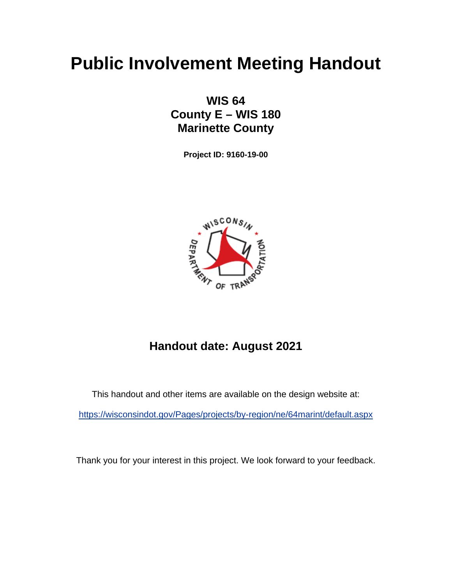# **Public Involvement Meeting Handout**

## **WIS 64 County E – WIS 180 Marinette County**

**Project ID: 9160-19-00**



# **Handout date: August 2021**

This handout and other items are available on the design website at: <https://wisconsindot.gov/Pages/projects/by-region/ne/64marint/default.aspx>

Thank you for your interest in this project. We look forward to your feedback.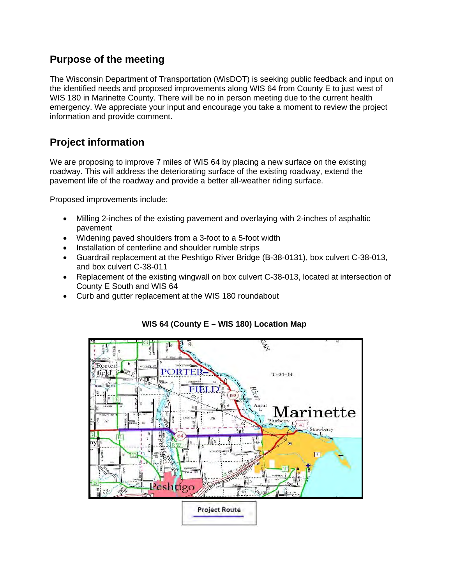#### **Purpose of the meeting**

The Wisconsin Department of Transportation (WisDOT) is seeking public feedback and input on the identified needs and proposed improvements along WIS 64 from County E to just west of WIS 180 in Marinette County. There will be no in person meeting due to the current health emergency. We appreciate your input and encourage you take a moment to review the project information and provide comment.

### **Project information**

We are proposing to improve 7 miles of WIS 64 by placing a new surface on the existing roadway. This will address the deteriorating surface of the existing roadway, extend the pavement life of the roadway and provide a better all-weather riding surface.

Proposed improvements include:

- Milling 2-inches of the existing pavement and overlaying with 2-inches of asphaltic pavement
- Widening paved shoulders from a 3-foot to a 5-foot width
- Installation of centerline and shoulder rumble strips
- Guardrail replacement at the Peshtigo River Bridge (B-38-0131), box culvert C-38-013, and box culvert C-38-011
- Replacement of the existing wingwall on box culvert C-38-013, located at intersection of County E South and WIS 64
- Curb and gutter replacement at the WIS 180 roundabout



#### **WIS 64 (County E – WIS 180) Location Map**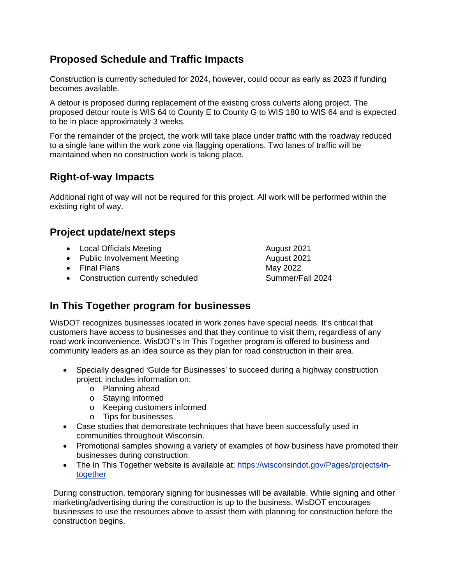## **Proposed Schedule and Traffic Impacts**

Construction is currently scheduled for 2024, however, could occur as early as 2023 if funding becomes available.

A detour is proposed during replacement of the existing cross culverts along project. The proposed detour route is WIS 64 to County E to County G to WIS 180 to WIS 64 and is expected to be in place approximately 3 weeks.

For the remainder of the project, the work will take place under traffic with the roadway reduced to a single lane within the work zone via flagging operations. Two lanes of traffic will be maintained when no construction work is taking place.

#### **Right-of-way Impacts**

Additional right of way will not be required for this project. All work will be performed within the existing right of way.

#### **Project update/next steps**

- Local Officials Meeting **August 2021**
- Public Involvement Meeting and a metal and August 2021
- Final Plans May 2022
- Construction currently scheduled Summer/Fall 2024

#### **In This Together program for businesses**

WisDOT recognizes businesses located in work zones have special needs. It's critical that customers have access to businesses and that they continue to visit them, regardless of any road work inconvenience. WisDOT's In This Together program is offered to business and community leaders as an idea source as they plan for road construction in their area.

- Specially designed 'Guide for Businesses' to succeed during a highway construction project, includes information on:
	- o Planning ahead
	- o Staying informed
	- o Keeping customers informed
	- o Tips for businesses
- Case studies that demonstrate techniques that have been successfully used in communities throughout Wisconsin.
- Promotional samples showing a variety of examples of how business have promoted their businesses during construction.
- The In This Together website is available at: [https://wisconsindot.gov/Pages/projects/in](https://wisconsindot.gov/Pages/projects/in-together/default.aspx)[together](https://wisconsindot.gov/Pages/projects/in-together/default.aspx)

During construction, temporary signing for businesses will be available. While signing and other marketing/advertising during the construction is up to the business, WisDOT encourages businesses to use the resources above to assist them with planning for construction before the construction begins.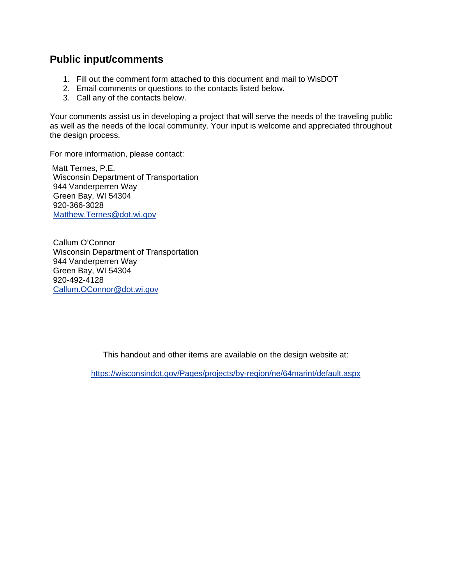#### **Public input/comments**

- 1. Fill out the comment form attached to this document and mail to WisDOT
- 2. Email comments or questions to the contacts listed below.
- 3. Call any of the contacts below.

Your comments assist us in developing a project that will serve the needs of the traveling public as well as the needs of the local community. Your input is welcome and appreciated throughout the design process.

For more information, please contact:

 Matt Ternes, P.E. Wisconsin Department of Transportation 944 Vanderperren Way Green Bay, WI 54304 920-366-3028 [Matthew.Ternes@dot.wi.gov](mailto:Matthew.Ternes@dot.wi.gov)

Callum O'Connor Wisconsin Department of Transportation 944 Vanderperren Way Green Bay, WI 54304 920-492-4128 [Callum.OConnor@dot.wi.gov](mailto:Callum.OConnor@dot.wi.gov)

This handout and other items are available on the design website at:

<https://wisconsindot.gov/Pages/projects/by-region/ne/64marint/default.aspx>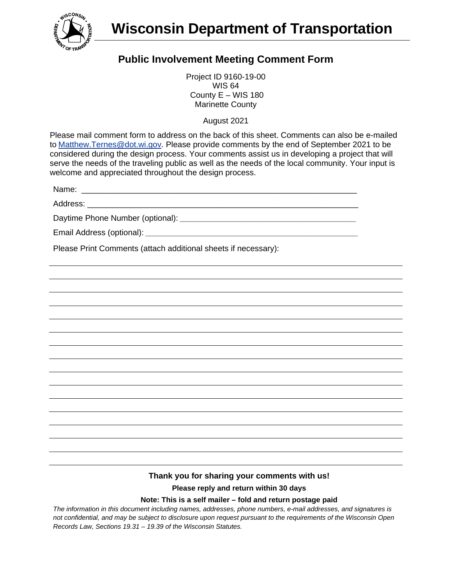

## **Public Involvement Meeting Comment Form**

Project ID 9160-19-00 WIS 64 County E – WIS 180 Marinette County

August 2021

Please mail comment form to address on the back of this sheet. Comments can also be e-mailed to [Matthew.Ternes@dot.wi.gov.](mailto:Matthew.Ternes@dot.wi.gov) Please provide comments by the end of September 2021 to be considered during the design process. Your comments assist us in developing a project that will serve the needs of the traveling public as well as the needs of the local community. Your input is welcome and appreciated throughout the design process.

Name: \_\_\_\_\_\_\_\_\_\_\_\_\_\_\_\_\_\_\_\_\_\_\_\_\_\_\_\_\_\_\_\_\_\_\_\_\_\_\_\_\_\_\_\_\_\_\_\_\_\_\_\_\_\_\_\_\_\_\_\_\_

Address:

Daytime Phone Number (optional): *\_\_\_\_\_\_\_\_\_\_\_\_\_\_\_\_\_\_\_\_\_\_\_\_\_\_\_\_\_\_\_\_\_\_\_\_\_\_\_*

Email Address (optional): *\_\_\_\_\_\_\_\_\_\_\_\_\_\_\_\_\_\_\_\_\_\_\_\_\_\_\_\_\_\_\_\_\_\_\_\_\_\_\_\_\_\_\_\_\_\_\_*

Please Print Comments (attach additional sheets if necessary):

#### **Thank you for sharing your comments with us!**

**Please reply and return within 30 days**

#### **Note: This is a self mailer – fold and return postage paid**

*The information in this document including names, addresses, phone numbers, e-mail addresses, and signatures is not confidential, and may be subject to disclosure upon request pursuant to the requirements of the Wisconsin Open Records Law, Sections 19.31 – 19.39 of the Wisconsin Statutes.*